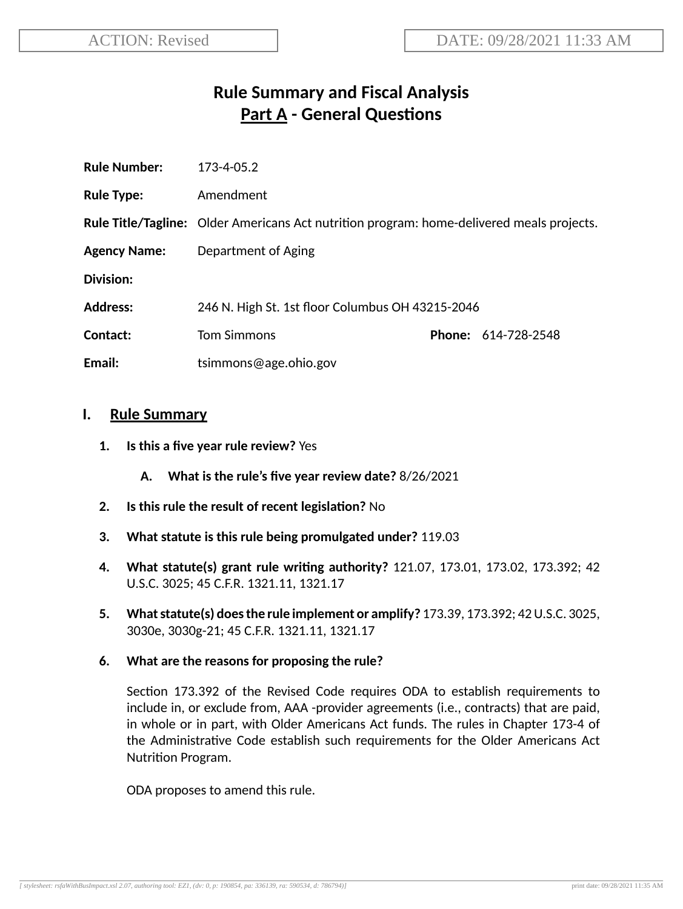# **Rule Summary and Fiscal Analysis Part A** - General Questions

| <b>Rule Number:</b> | 173-4-05.2                                                                                       |  |                     |
|---------------------|--------------------------------------------------------------------------------------------------|--|---------------------|
| <b>Rule Type:</b>   | Amendment                                                                                        |  |                     |
|                     | <b>Rule Title/Tagline:</b> Older Americans Act nutrition program: home-delivered meals projects. |  |                     |
| <b>Agency Name:</b> | Department of Aging                                                                              |  |                     |
| Division:           |                                                                                                  |  |                     |
| <b>Address:</b>     | 246 N. High St. 1st floor Columbus OH 43215-2046                                                 |  |                     |
| Contact:            | <b>Tom Simmons</b>                                                                               |  | Phone: 614-728-2548 |
| Email:              | tsimmons@age.ohio.gov                                                                            |  |                     |
|                     |                                                                                                  |  |                     |

#### **I. Rule Summary**

- **1. Is this a five year rule review?** Yes
	- **A. What is the rule's five year review date?** 8/26/2021
- **2.** Is this rule the result of recent legislation? No
- **3. What statute is this rule being promulgated under?** 119.03
- **4. What statute(s) grant rule wring authority?** 121.07, 173.01, 173.02, 173.392; 42 U.S.C. 3025; 45 C.F.R. 1321.11, 1321.17
- **5. Whatstatute(s) doesthe rule implement or amplify?** 173.39, 173.392; 42U.S.C. 3025, 3030e, 3030g-21; 45 C.F.R. 1321.11, 1321.17
- **6. What are the reasons for proposing the rule?**

Section 173.392 of the Revised Code requires ODA to establish requirements to include in, or exclude from, AAA -provider agreements (i.e., contracts) that are paid, in whole or in part, with Older Americans Act funds. The rules in Chapter 173-4 of the Administrative Code establish such requirements for the Older Americans Act Nutrition Program.

ODA proposes to amend this rule.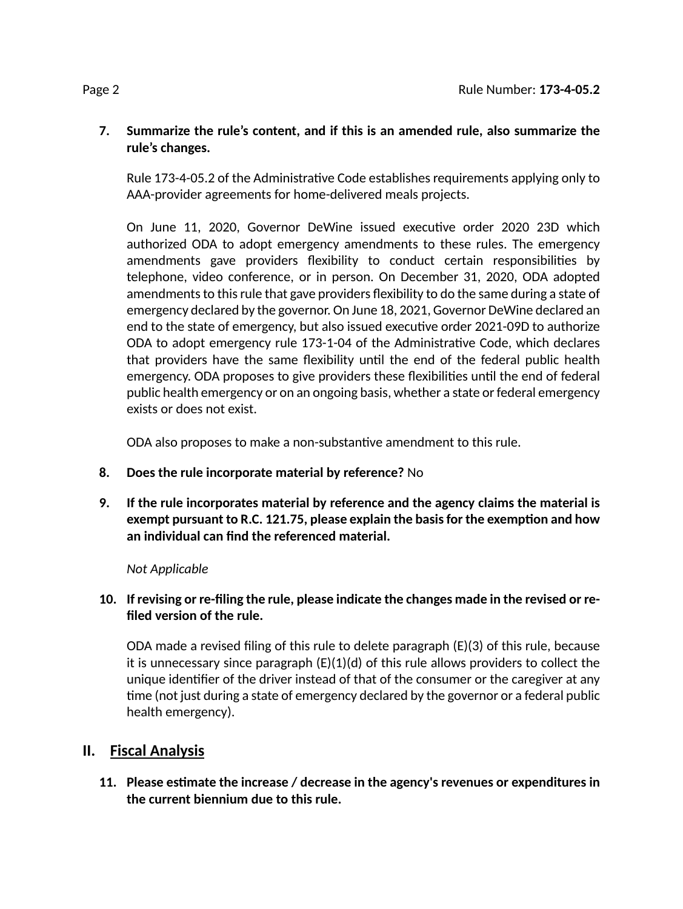## **7. Summarize the rule's content, and if this is an amended rule, also summarize the rule's changes.**

Rule 173-4-05.2 of the Administrative Code establishes requirements applying only to AAA-provider agreements for home-delivered meals projects.

On June 11, 2020, Governor DeWine issued executive order 2020 23D which authorized ODA to adopt emergency amendments to these rules. The emergency amendments gave providers flexibility to conduct certain responsibilities by telephone, video conference, or in person. On December 31, 2020, ODA adopted amendments to this rule that gave providers flexibility to do the same during a state of emergency declared by the governor. On June 18, 2021, Governor DeWine declared an end to the state of emergency, but also issued executive order 2021-09D to authorize ODA to adopt emergency rule 173-1-04 of the Administrative Code, which declares that providers have the same flexibility until the end of the federal public health emergency. ODA proposes to give providers these flexibilities until the end of federal public health emergency or on an ongoing basis, whether a state or federal emergency exists or does not exist.

ODA also proposes to make a non-substantive amendment to this rule.

- **8. Does the rule incorporate material by reference?** No
- **9. If the rule incorporates material by reference and the agency claims the material is exempt pursuant to R.C. 121.75, please explain the basisfor the exempon and how an individual can find the referenced material.**

# *Not Applicable*

# **10. If revising or re-filing the rule, please indicate the changes made in the revised or refiled version of the rule.**

ODA made a revised filing of this rule to delete paragraph  $(E)(3)$  of this rule, because it is unnecessary since paragraph (E)(1)(d) of this rule allows providers to collect the unique idenfier of the driver instead of that of the consumer or the caregiver at any time (not just during a state of emergency declared by the governor or a federal public health emergency).

# **II. Fiscal Analysis**

**11. Please esmate the increase / decrease in the agency's revenues or expenditures in the current biennium due to this rule.**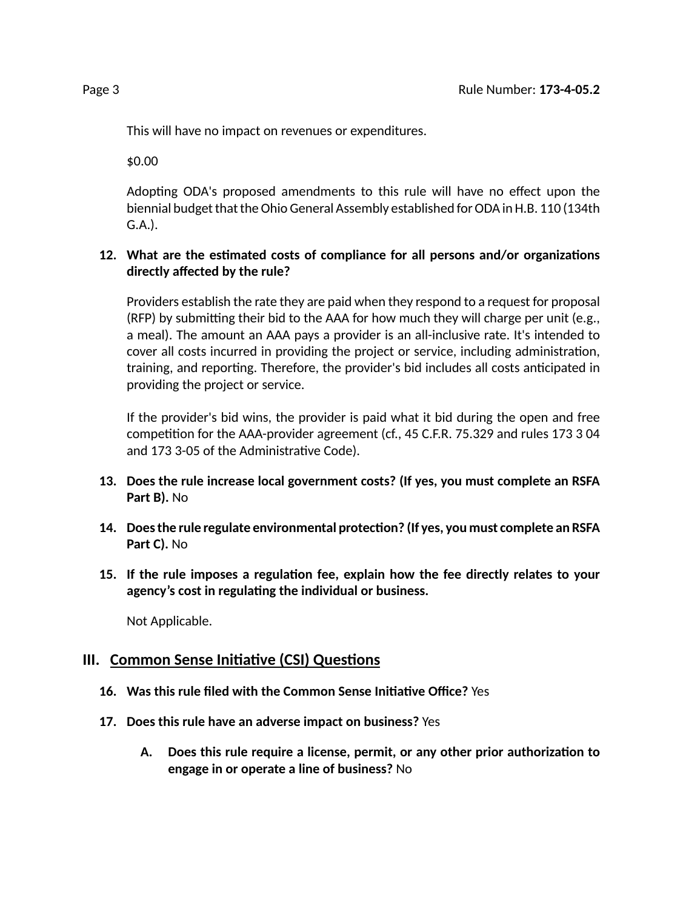This will have no impact on revenues or expenditures.

\$0.00

Adopting ODA's proposed amendments to this rule will have no effect upon the biennial budget that the Ohio General Assembly established for ODA in H.B. 110 (134th G.A.).

## **12.** What are the estimated costs of compliance for all persons and/or organizations **directly affected by the rule?**

Providers establish the rate they are paid when they respond to a request for proposal  $(RFP)$  by submitting their bid to the AAA for how much they will charge per unit (e.g., a meal). The amount an AAA pays a provider is an all-inclusive rate. It's intended to cover all costs incurred in providing the project or service, including administration, training, and reporting. Therefore, the provider's bid includes all costs anticipated in providing the project or service.

If the provider's bid wins, the provider is paid what it bid during the open and free competition for the AAA-provider agreement (cf., 45 C.F.R. 75.329 and rules 173 3 04 and 173 3-05 of the Administrative Code).

- **13. Does the rule increase local government costs? (If yes, you must complete an RSFA Part B).** No
- **14. Doesthe rule regulate environmental protecon? (If yes, you must complete an RSFA Part C).** No
- **15. If the rule imposes a regulaon fee, explain how the fee directly relates to your agency's cost in regulang the individual or business.**

Not Applicable.

# **III.** Common Sense Initiative (CSI) Questions

- **16. Was this rule filed with the Common Sense Iniave Office?** Yes
- **17. Does this rule have an adverse impact on business?** Yes
	- **A. Does this rule require a license, permit, or any other prior authorizaon to engage in or operate a line of business?** No